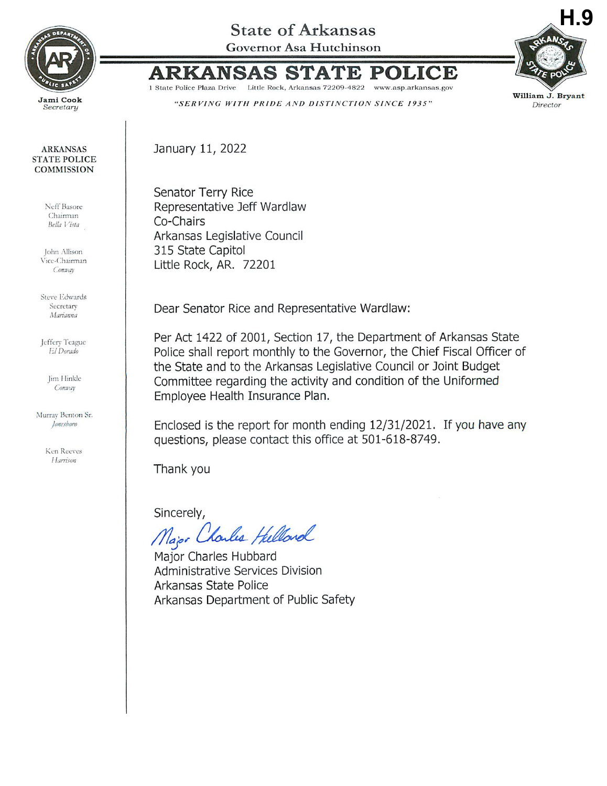

**ARKANSAS STATE POLICE COMMISSION** 

> Neff Basore Chairman

Bella Vista

John Allison Vice-Chairman

Conway

**Steve Edwards** Secretary

Marianna

Jeffery Teague

El Dorado

Jim Hinkle

Conway

Murray Benton Sr.

Jonesboro

Ken Reeves Harrison

## **State of Arkansas**

Governor Asa Hutchinson



**ARKANSAS** POLICE S1 ATE

1 State Police Plaza Drive Little Rock, Arkansas 72209-4822 www.asp.arkansas.gov

"SERVING WITH PRIDE AND DISTINCTION SINCE 1935"

January 11, 2022

Senator Terry Rice Representative Jeff Wardlaw Co-Chairs Arkansas Legislative Council 315 State Capitol Little Rock, AR. 72201

Dear Senator Rice and Representative Wardlaw:

Per Act 1422 of 2001, Section 17, the Department of Arkansas State Police shall report monthly to the Governor, the Chief Fiscal Officer of the State and to the Arkansas Legislative Council or Joint Budget Committee regarding the activity and condition of the Uniformed Employee Health Insurance Plan.

Enclosed is the report for month ending 12/31/2021. If you have any questions, please contact this office at 501-618-8749.

Thank you

Sincerely,

Major Charles Hellord

Major Charles Hubbard Administrative Services Division Arkansas State Police Arkansas Department of Public Safety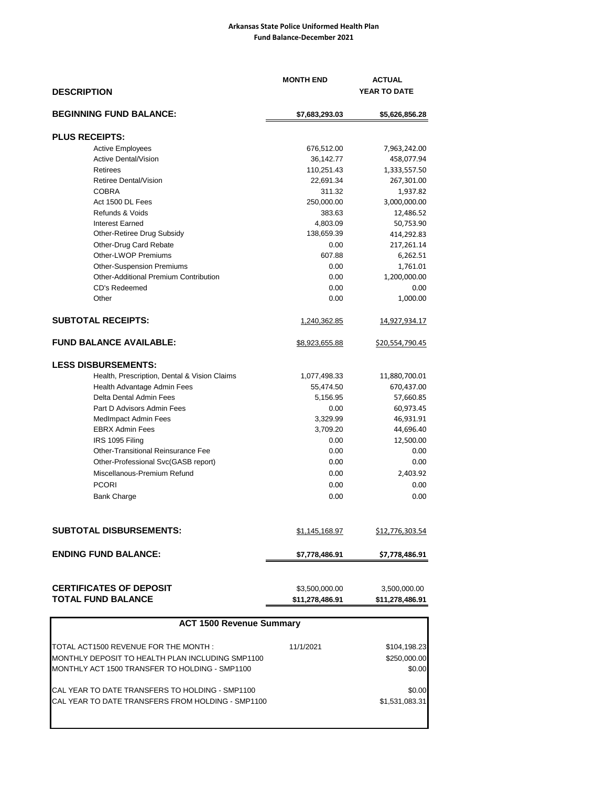## **Arkansas State Police Uniformed Health Plan Fund Balance-December 2021**

| <b>DESCRIPTION</b>                           | <b>MONTH END</b>    | <b>ACTUAL</b><br>YEAR TO DATE |  |
|----------------------------------------------|---------------------|-------------------------------|--|
| <b>BEGINNING FUND BALANCE:</b>               | \$7,683,293.03      | \$5,626,856.28                |  |
| <b>PLUS RECEIPTS:</b>                        |                     |                               |  |
| <b>Active Employees</b>                      | 676,512.00          | 7,963,242.00                  |  |
| <b>Active Dental/Vision</b>                  | 36,142.77           | 458,077.94                    |  |
| Retirees                                     | 110,251.43          | 1,333,557.50                  |  |
| Retiree Dental/Vision                        | 22,691.34           | 267,301.00                    |  |
| <b>COBRA</b>                                 | 311.32              | 1,937.82                      |  |
| Act 1500 DL Fees                             | 250,000.00          | 3,000,000.00                  |  |
| Refunds & Voids                              | 383.63              | 12,486.52                     |  |
| <b>Interest Earned</b>                       | 4,803.09            | 50,753.90                     |  |
| Other-Retiree Drug Subsidy                   | 138,659.39          | 414,292.83                    |  |
| Other-Drug Card Rebate                       | 0.00                | 217,261.14                    |  |
| Other-LWOP Premiums                          | 607.88              | 6,262.51                      |  |
| <b>Other-Suspension Premiums</b>             | 0.00                | 1,761.01                      |  |
| Other-Additional Premium Contribution        | 0.00                | 1,200,000.00                  |  |
| CD's Redeemed                                | 0.00                | 0.00                          |  |
| Other                                        | 0.00                | 1,000.00                      |  |
| <b>SUBTOTAL RECEIPTS:</b>                    | <u>1,240,362.85</u> | <u>14,927,934.17</u>          |  |
| <b>FUND BALANCE AVAILABLE:</b>               | \$8,923,655.88      | \$20,554,790.45               |  |
| <b>LESS DISBURSEMENTS:</b>                   |                     |                               |  |
| Health, Prescription, Dental & Vision Claims | 1,077,498.33        | 11,880,700.01                 |  |
| Health Advantage Admin Fees                  | 55,474.50           | 670,437.00                    |  |
| Delta Dental Admin Fees                      | 5,156.95            | 57,660.85                     |  |
| Part D Advisors Admin Fees                   | 0.00                | 60,973.45                     |  |
| <b>MedImpact Admin Fees</b>                  | 3,329.99            | 46,931.91                     |  |
| <b>EBRX Admin Fees</b>                       | 3,709.20            | 44,696.40                     |  |
| IRS 1095 Filing                              | 0.00                | 12,500.00                     |  |
| <b>Other-Transitional Reinsurance Fee</b>    | 0.00                | 0.00                          |  |
| Other-Professional Svc(GASB report)          | 0.00                | 0.00                          |  |
| Miscellanous-Premium Refund                  | 0.00                | 2,403.92                      |  |
| <b>PCORI</b>                                 | 0.00                | 0.00                          |  |
| <b>Bank Charge</b>                           | 0.00                | 0.00                          |  |
| <b>SUBTOTAL DISBURSEMENTS:</b>               | \$1,145,168.97      | \$12,776,303.54               |  |
|                                              |                     |                               |  |
| <b>ENDING FUND BALANCE:</b>                  | \$7,778,486.91      | \$7,778,486.91                |  |
| <b>CERTIFICATES OF DEPOSIT</b>               | \$3,500,000.00      | 3,500,000.00                  |  |
| <b>TOTAL FUND BALANCE</b>                    | \$11,278,486.91     | \$11,278,486.91               |  |

| <b>ACT 1500 Revenue Summary</b>                    |              |                |  |  |  |  |  |
|----------------------------------------------------|--------------|----------------|--|--|--|--|--|
| TOTAL ACT1500 REVENUE FOR THE MONTH :              | 11/1/2021    | \$104,198.23   |  |  |  |  |  |
| MONTHLY DEPOSIT TO HEALTH PLAN INCLUDING SMP1100   | \$250,000.00 |                |  |  |  |  |  |
| MONTHLY ACT 1500 TRANSFER TO HOLDING - SMP1100     |              | \$0.00         |  |  |  |  |  |
| CAL YEAR TO DATE TRANSFERS TO HOLDING - SMP1100    |              | \$0.00         |  |  |  |  |  |
| ICAL YEAR TO DATE TRANSFERS FROM HOLDING - SMP1100 |              | \$1.531.083.31 |  |  |  |  |  |
|                                                    |              |                |  |  |  |  |  |